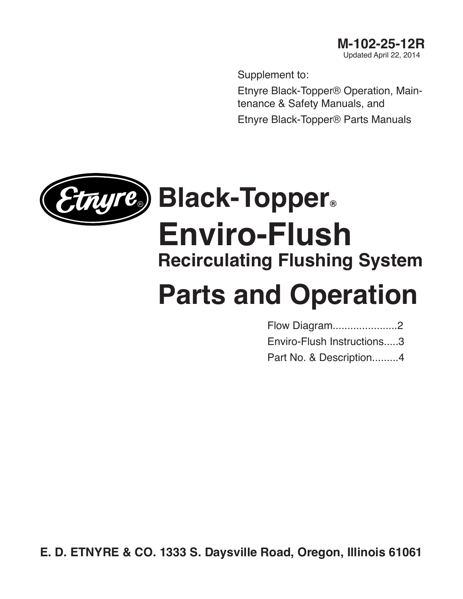Supplement to:

Etnyre Black-Topper® Operation, Maintenance & Safety Manuals, and Etnyre Black-Topper® Parts Manuals



# **Parts and Operation**

[Flow Diagram......................2](#page-1-0)

[Enviro-Flush Instructions.....3](#page-2-0)

[Part No. & Description.........4](#page-3-0)

**E. D. ETNYRE & CO. 1333 S. Daysville Road, Oregon, Illinois 61061**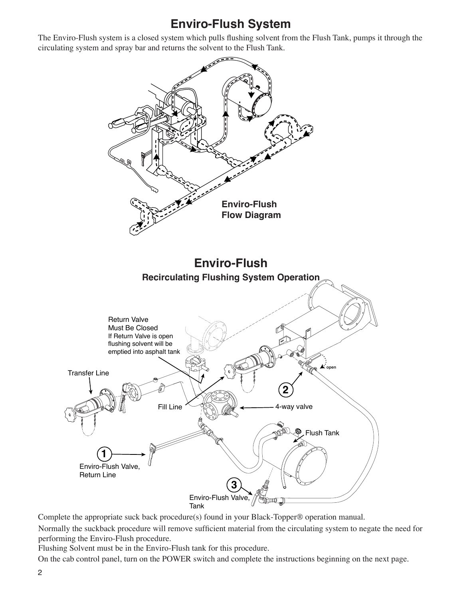## **Enviro-Flush System**

<span id="page-1-0"></span>The Enviro-Flush system is a closed system which pulls flushing solvent from the Flush Tank, pumps it through the circulating system and spray bar and returns the solvent to the Flush Tank.



Complete the appropriate suck back procedure(s) found in your Black-Topper® operation manual.

Normally the suckback procedure will remove sufficient material from the circulating system to negate the need for performing the Enviro-Flush procedure.

Flushing Solvent must be in the Enviro-Flush tank for this procedure.

On the cab control panel, turn on the POWER switch and complete the instructions beginning on the next page.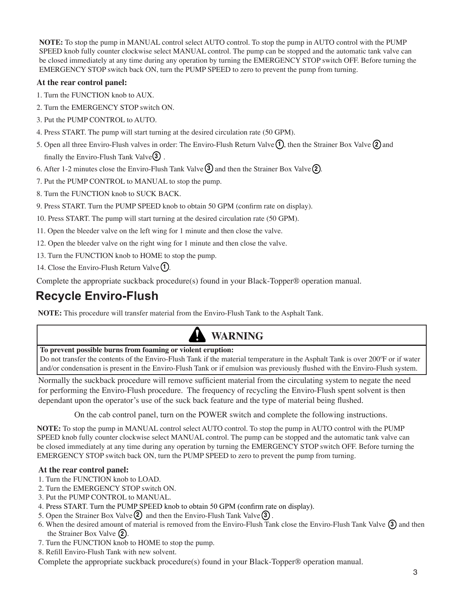<span id="page-2-0"></span>**NOTE:** To stop the pump in MANUAL control select AUTO control. To stop the pump in AUTO control with the PUMP SPEED knob fully counter clockwise select MANUAL control. The pump can be stopped and the automatic tank valve can be closed immediately at any time during any operation by turning the EMERGENCY STOP switch OFF. Before turning the EMERGENCY STOP switch back ON, turn the PUMP SPEED to zero to prevent the pump from turning.

### **At the rear control panel:**

- 1. Turn the FUNCTION knob to AUX.
- 2. Turn the EMERGENCY STOP switch ON.
- 3. Put the PUMP CONTROL to AUTO.
- 4. Press START. The pump will start turning at the desired circulation rate (50 GPM).
- 5. Open all three Enviro-Flush valves in order: The Enviro-Flush Return Valve  $(1)$ , then the Strainer Box Valve  $(2)$  and finally the Enviro-Flush Tank Valve<sup>(3)</sup>.
- 6. After 1-2 minutes close the Enviro-Flush Tank Valve  $\ddot{3}$  and then the Strainer Box Valve  $\ddot{2}$ .
- 7. Put the PUMP CONTROL to MANUAL to stop the pump.
- 8. Turn the FUNCTION knob to SUCK BACK.
- 9. Press START. Turn the PUMP SPEED knob to obtain 50 GPM (confirm rate on display).
- 10. Press START. The pump will start turning at the desired circulation rate (50 GPM).
- 11. Open the bleeder valve on the left wing for 1 minute and then close the valve.
- 12. Open the bleeder valve on the right wing for 1 minute and then close the valve.
- 13. Turn the FUNCTION knob to HOME to stop the pump.
- 14. Close the Enviro-Flush Return Valve  $(1)$ .

Complete the appropriate suckback procedure(s) found in your Black-Topper® operation manual.

## **Recycle Enviro-Flush**

**NOTE:** This procedure will transfer material from the Enviro-Flush Tank to the Asphalt Tank.

## **WARNING**

#### **To prevent possible burns from foaming or violent eruption:**

Do not transfer the contents of the Enviro-Flush Tank if the material temperature in the Asphalt Tank is over 200ºF or if water and/or condensation is present in the Enviro-Flush Tank or if emulsion was previously flushed with the Enviro-Flush system.

Normally the suckback procedure will remove sufficient material from the circulating system to negate the need for performing the Enviro-Flush procedure. The frequency of recycling the Enviro-Flush spent solvent is then dependant upon the operator's use of the suck back feature and the type of material being flushed.

On the cab control panel, turn on the POWER switch and complete the following instructions.

**NOTE:** To stop the pump in MANUAL control select AUTO control. To stop the pump in AUTO control with the PUMP SPEED knob fully counter clockwise select MANUAL control. The pump can be stopped and the automatic tank valve can be closed immediately at any time during any operation by turning the EMERGENCY STOP switch OFF. Before turning the EMERGENCY STOP switch back ON, turn the PUMP SPEED to zero to prevent the pump from turning.

#### **At the rear control panel:**

- 1. Turn the FUNCTION knob to LOAD.
- 2. Turn the EMERGENCY STOP switch ON.
- 3. Put the PUMP CONTROL to MANUAL.
- 4. Press START. Turn the PUMP SPEED knob to obtain 50 GPM (confirm rate on display).
- 5. Open the Strainer Box Valve  $(2)$  and then the Enviro-Flush Tank Valve  $(3)$ .
- 6. When the desired amount of material is removed from the Enviro-Flush Tank close the Enviro-Flush Tank Valve (3) and then the Strainer Box Valve (2).
- 7. Turn the FUNCTION knob to HOME to stop the pump.
- 8. Refill Enviro-Flush Tank with new solvent.

Complete the appropriate suckback procedure(s) found in your Black-Topper® operation manual.